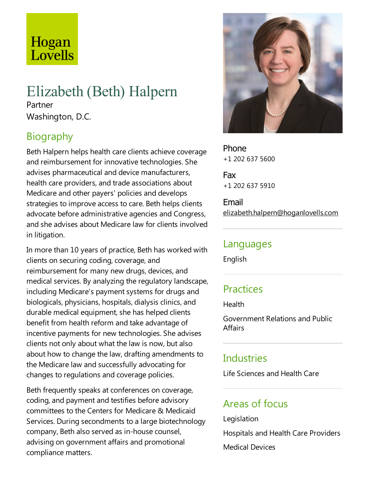# Hogan Lovells

# Elizabeth (Beth) Halpern

Partner Washington, D.C.

## Biography

Beth Halpern helps health care clients achieve coverage and reimbursement for innovative technologies. She advises pharmaceutical and device manufacturers, health care providers, and trade associations about Medicare and other payers' policies and develops strategies to improve access to care. Beth helps clients advocate before administrative agencies and Congress, and she advises about Medicare law for clients involved in litigation.

In more than 10 years of practice, Beth has worked with clients on securing coding, coverage, and reimbursement for many new drugs, devices, and medical services. By analyzing the regulatory landscape, including Medicare's payment systems for drugs and biologicals, physicians, hospitals, dialysis clinics, and durable medical equipment, she has helped clients benefit from health reform and take advantage of incentive payments for new technologies. She advises clients not only about what the law is now, but also about how to change the law, drafting amendments to the Medicare law and successfully advocating for changes to regulations and coverage policies.

Beth frequently speaks at conferences on coverage, coding, and payment and testifies before advisory committees to the Centers for Medicare & Medicaid Services. During secondments to alarge biotechnology company, Beth also served as in-house counsel, advising on government affairs and promotional compliance matters.



Phone +1 202 637 5600

Fax +1 202 637 5910

Email elizabeth.halpern@hoganlovells.com

#### Languages

English

## **Practices**

Health

Government Relations and Public Affairs

## Industries

Life Sciences and Health Care

## Areas of focus

Legislation Hospitals and Health Care Providers Medical Devices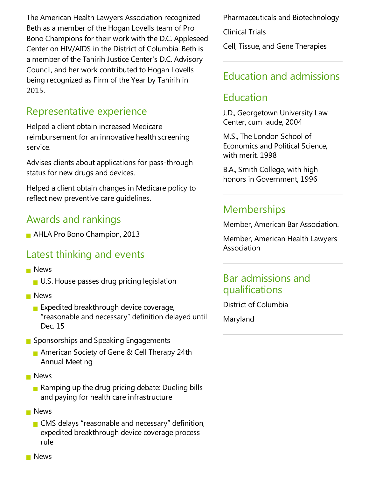The American Health Lawyers Association recognized Beth as a member of the Hogan Lovells team of Pro Bono Champions for their work with the D.C. Appleseed Center on HIV/AIDS in the District of Columbia. Beth is a member of the Tahirih Justice Center's D.C. Advisory Council, and her work contributed to Hogan Lovells being recognized as Firm of the Year by Tahirih in 2015.

### Representative experience

Helped a client obtain increased Medicare reimbursement for an innovative health screening service.

Advises clients about applications for pass-through status for new drugs and devices.

Helped aclient obtain changes in Medicare policy to reflect new preventive care guidelines.

## Awards and rankings

**AHLA Pro Bono Champion, 2013** 

## Latest thinking and events

- **News** 
	- U.S. House passes drug pricing legislation
- **News** 
	- Expedited breakthrough device coverage, "reasonable and necessary" definition delayed until Dec. 15
- **■** Sponsorships and Speaking Engagements
	- American Society of Gene & Cell Therapy 24th Annual Meeting
- **News** 
	- **Ramping up the drug pricing debate: Dueling bills** and paying for health care infrastructure
- **News** 
	- $\blacksquare$  CMS delays "reasonable and necessary" definition, expedited breakthrough device coverage process rule

Pharmaceuticals and Biotechnology

Clinical Trials

Cell, Tissue, and Gene Therapies

### Education and admissions

### Education

J.D., Georgetown University Law Center, cum laude, 2004

M.S., The London School of Economics and Political Science, with merit, 1998

B.A., Smith College, with high honors in Government, 1996

## **Memberships**

Member, American Bar Association.

Member, American Health Lawyers Association

#### Bar admissions and qualifications

District of Columbia

Maryland

**News**